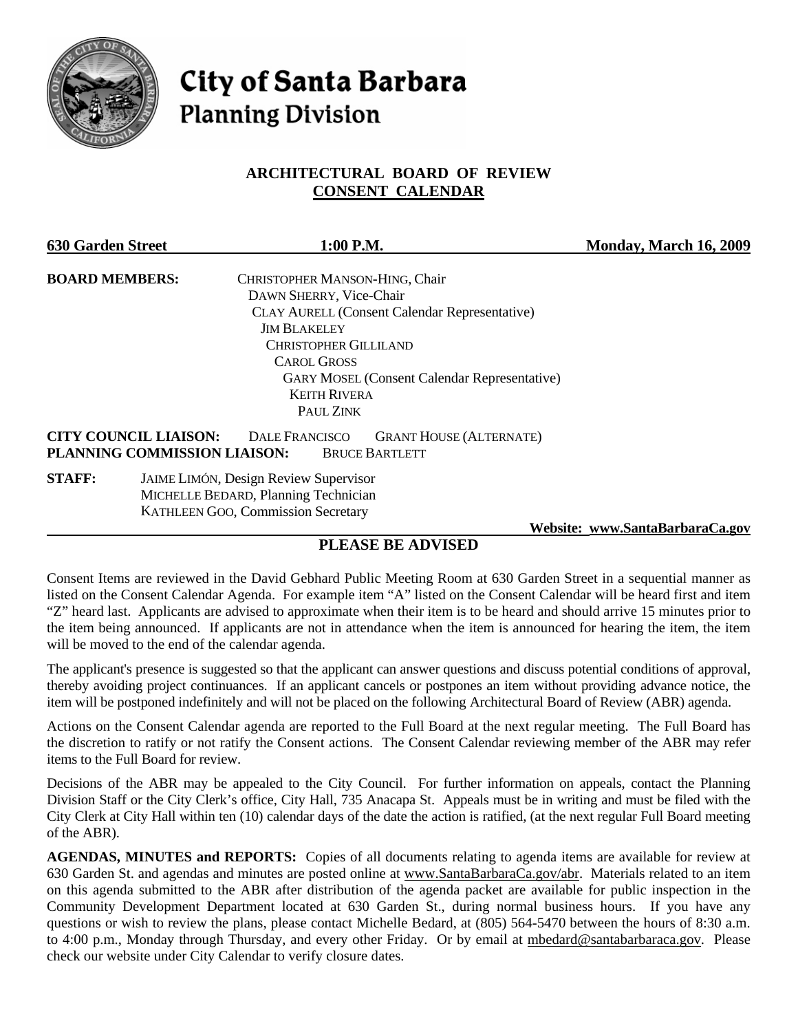

# **City of Santa Barbara Planning Division**

#### **ARCHITECTURAL BOARD OF REVIEW CONSENT CALENDAR**

| <b>630 Garden Street</b> |                                                                                     | 1:00 P.M.                                                                        | Monday, March 16, 2009 |
|--------------------------|-------------------------------------------------------------------------------------|----------------------------------------------------------------------------------|------------------------|
| <b>BOARD MEMBERS:</b>    |                                                                                     | CHRISTOPHER MANSON-HING, Chair                                                   |                        |
|                          |                                                                                     | DAWN SHERRY, Vice-Chair                                                          |                        |
|                          |                                                                                     | <b>CLAY AURELL (Consent Calendar Representative)</b>                             |                        |
|                          |                                                                                     | <b>JIM BLAKELEY</b>                                                              |                        |
|                          |                                                                                     | <b>CHRISTOPHER GILLILAND</b>                                                     |                        |
|                          |                                                                                     | <b>CAROL GROSS</b>                                                               |                        |
|                          |                                                                                     | <b>GARY MOSEL (Consent Calendar Representative)</b>                              |                        |
|                          |                                                                                     | <b>KEITH RIVERA</b>                                                              |                        |
|                          |                                                                                     | PAUL ZINK                                                                        |                        |
|                          | <b>CITY COUNCIL LIAISON:</b><br>PLANNING COMMISSION LIAISON:                        | <b>GRANT HOUSE (ALTERNATE)</b><br><b>DALE FRANCISCO</b><br><b>BRUCE BARTLETT</b> |                        |
| <b>STAFF:</b>            | <b>JAIME LIMÓN, Design Review Supervisor</b><br>MICHELLE REDARD Planning Technician |                                                                                  |                        |

 MICHELLE BEDARD, Planning Technician KATHLEEN GOO, Commission Secretary

 **Website: [www.SantaBarbaraCa.gov](http://www.santabarbaraca.gov/)**

### **PLEASE BE ADVISED**

Consent Items are reviewed in the David Gebhard Public Meeting Room at 630 Garden Street in a sequential manner as listed on the Consent Calendar Agenda. For example item "A" listed on the Consent Calendar will be heard first and item "Z" heard last. Applicants are advised to approximate when their item is to be heard and should arrive 15 minutes prior to the item being announced. If applicants are not in attendance when the item is announced for hearing the item, the item will be moved to the end of the calendar agenda.

The applicant's presence is suggested so that the applicant can answer questions and discuss potential conditions of approval, thereby avoiding project continuances. If an applicant cancels or postpones an item without providing advance notice, the item will be postponed indefinitely and will not be placed on the following Architectural Board of Review (ABR) agenda.

Actions on the Consent Calendar agenda are reported to the Full Board at the next regular meeting. The Full Board has the discretion to ratify or not ratify the Consent actions. The Consent Calendar reviewing member of the ABR may refer items to the Full Board for review.

Decisions of the ABR may be appealed to the City Council. For further information on appeals, contact the Planning Division Staff or the City Clerk's office, City Hall, 735 Anacapa St. Appeals must be in writing and must be filed with the City Clerk at City Hall within ten (10) calendar days of the date the action is ratified, (at the next regular Full Board meeting of the ABR).

**AGENDAS, MINUTES and REPORTS:** Copies of all documents relating to agenda items are available for review at 630 Garden St. and agendas and minutes are posted online at [www.SantaBarbaraCa.gov/abr.](http://www.santabarbaraca.gov/abr) Materials related to an item on this agenda submitted to the ABR after distribution of the agenda packet are available for public inspection in the Community Development Department located at 630 Garden St., during normal business hours. If you have any questions or wish to review the plans, please contact Michelle Bedard, at (805) 564-5470 between the hours of 8:30 a.m. to 4:00 p.m., Monday through Thursday, and every other Friday. Or by email at [mbedard@santabarbaraca.gov](mailto:mbedard@santabarbaraca.gov). Please check our website under City Calendar to verify closure dates.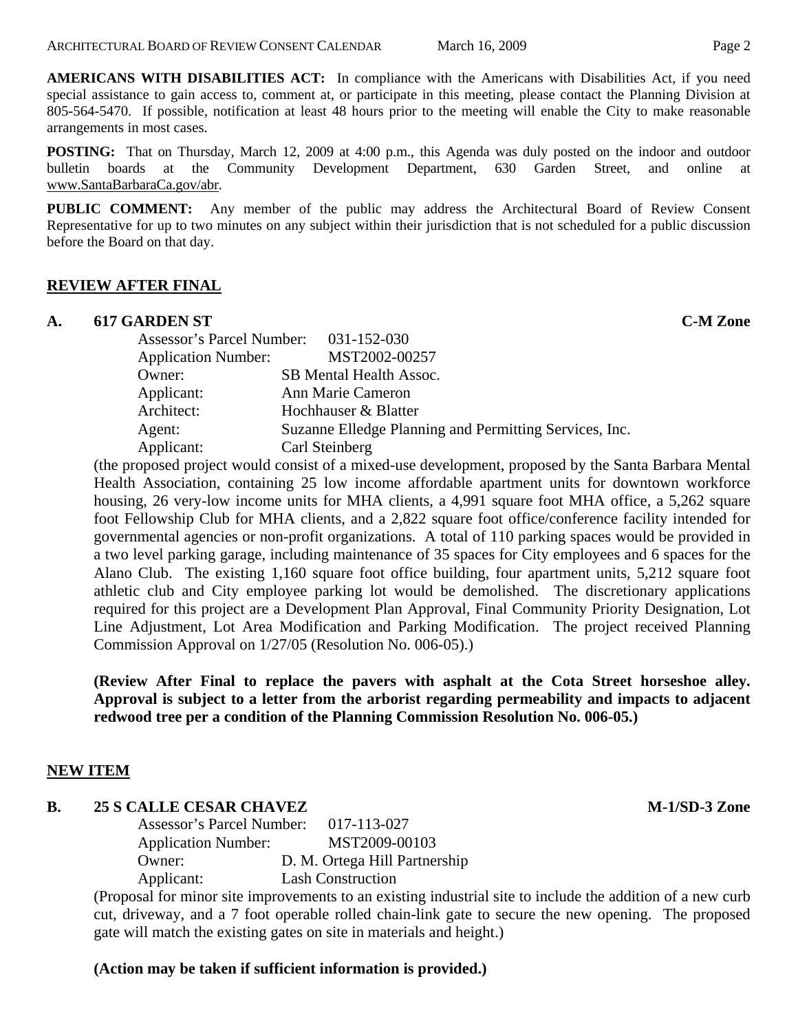**AMERICANS WITH DISABILITIES ACT:** In compliance with the Americans with Disabilities Act, if you need special assistance to gain access to, comment at, or participate in this meeting, please contact the Planning Division at 805-564-5470. If possible, notification at least 48 hours prior to the meeting will enable the City to make reasonable arrangements in most cases.

**POSTING:** That on Thursday, March 12, 2009 at 4:00 p.m., this Agenda was duly posted on the indoor and outdoor bulletin boards at the Community Development Department, 630 Garden Street, and online at [www.SantaBarbaraCa.gov/abr.](http://www.santabarbaraca.gov/abr)

**PUBLIC COMMENT:** Any member of the public may address the Architectural Board of Review Consent Representative for up to two minutes on any subject within their jurisdiction that is not scheduled for a public discussion before the Board on that day.

#### **REVIEW AFTER FINAL**

#### **A. 617 GARDEN ST C-M Zone**

| Assessor's Parcel Number: 031-152-030 |                                                        |
|---------------------------------------|--------------------------------------------------------|
| <b>Application Number:</b>            | MST2002-00257                                          |
| Owner:                                | SB Mental Health Assoc.                                |
| Applicant:                            | Ann Marie Cameron                                      |
| Architect:                            | Hochhauser & Blatter                                   |
| Agent:                                | Suzanne Elledge Planning and Permitting Services, Inc. |
| Applicant:                            | Carl Steinberg                                         |

(the proposed project would consist of a mixed-use development, proposed by the Santa Barbara Mental Health Association, containing 25 low income affordable apartment units for downtown workforce housing, 26 very-low income units for MHA clients, a 4,991 square foot MHA office, a 5,262 square foot Fellowship Club for MHA clients, and a 2,822 square foot office/conference facility intended for governmental agencies or non-profit organizations. A total of 110 parking spaces would be provided in a two level parking garage, including maintenance of 35 spaces for City employees and 6 spaces for the Alano Club. The existing 1,160 square foot office building, four apartment units, 5,212 square foot athletic club and City employee parking lot would be demolished. The discretionary applications required for this project are a Development Plan Approval, Final Community Priority Designation, Lot Line Adjustment, Lot Area Modification and Parking Modification. The project received Planning Commission Approval on 1/27/05 (Resolution No. 006-05).)

**(Review After Final to replace the pavers with asphalt at the Cota Street horseshoe alley. Approval is subject to a letter from the arborist regarding permeability and impacts to adjacent redwood tree per a condition of the Planning Commission Resolution No. 006-05.)** 

#### **NEW ITEM**

#### **B.** 25 S CALLE CESAR CHAVEZ M-1/SD-3 Zone

Assessor's Parcel Number: 017-113-027 Application Number: MST2009-00103 Owner: D. M. Ortega Hill Partnership Applicant: Lash Construction

(Proposal for minor site improvements to an existing industrial site to include the addition of a new curb cut, driveway, and a 7 foot operable rolled chain-link gate to secure the new opening. The proposed gate will match the existing gates on site in materials and height.)

#### **(Action may be taken if sufficient information is provided.)**